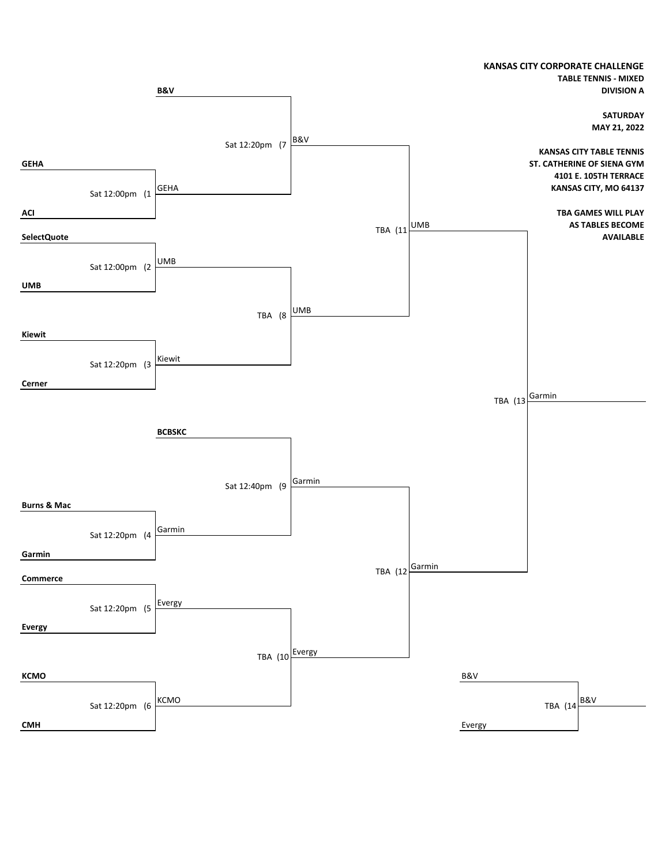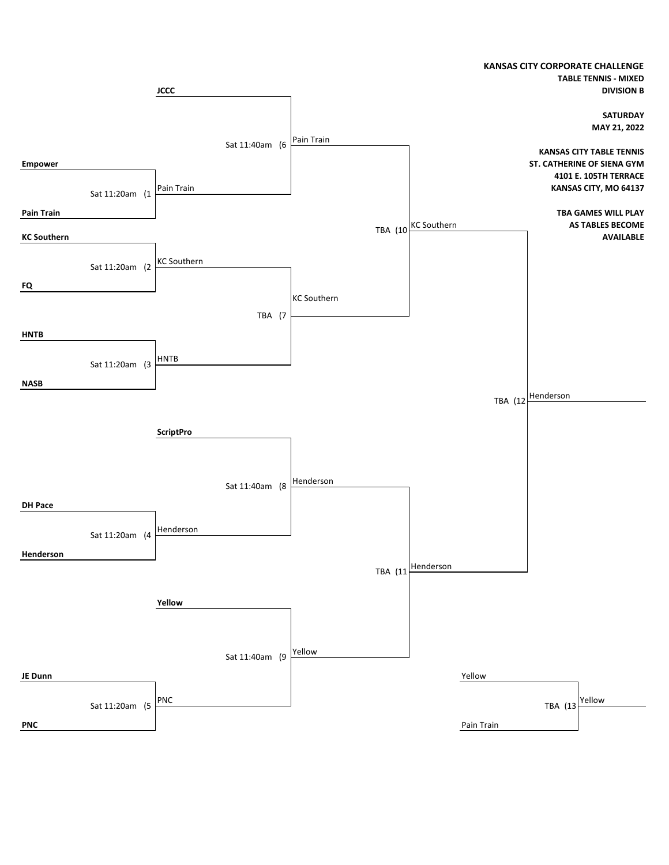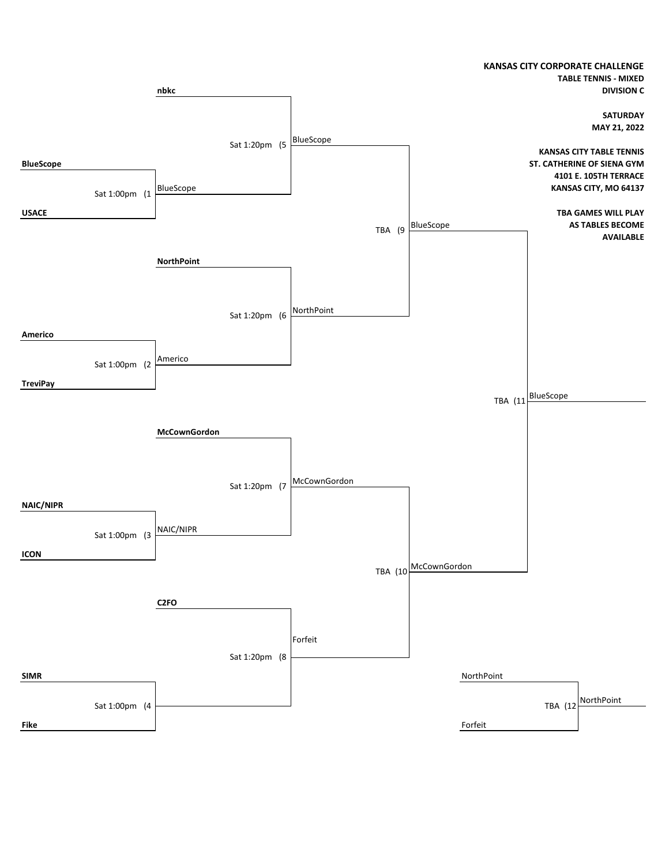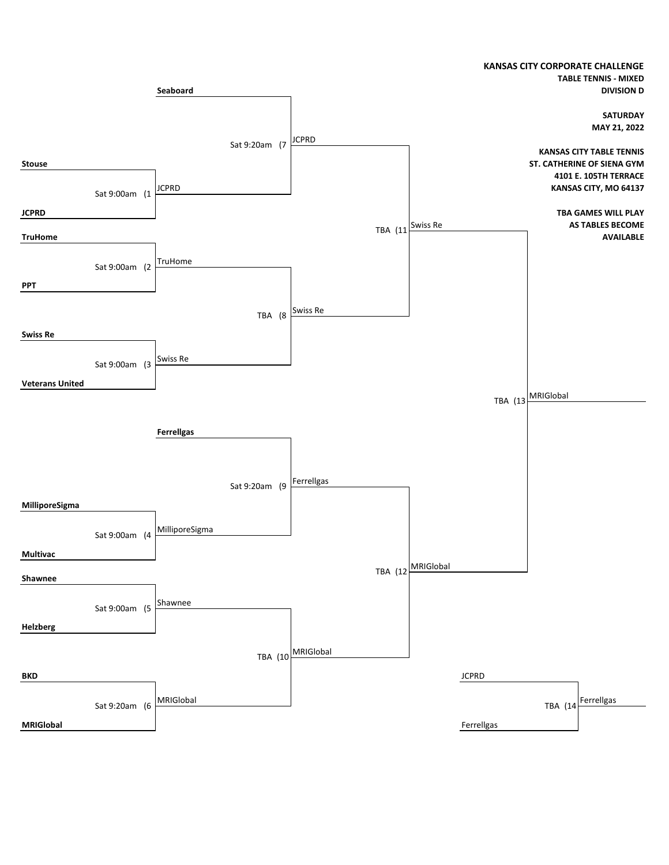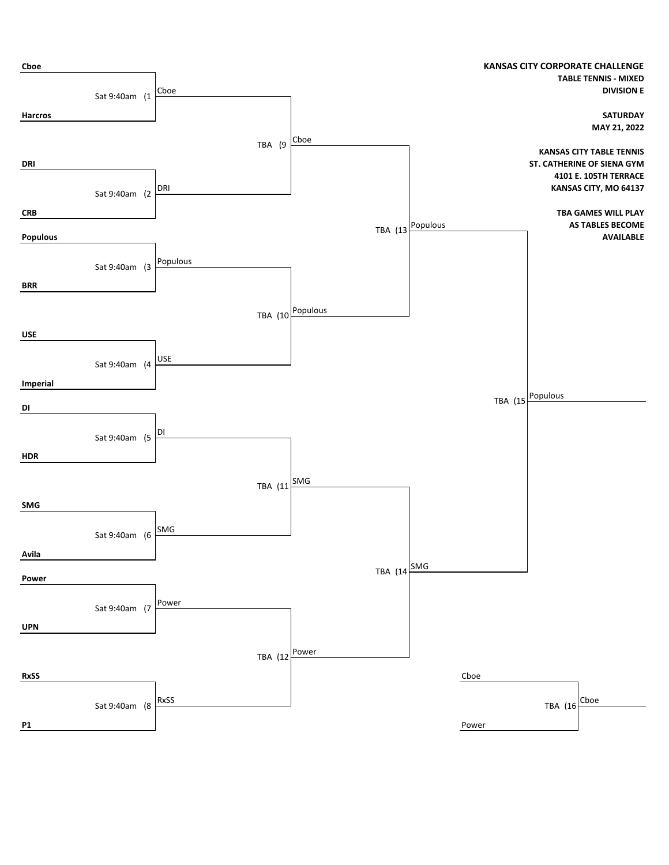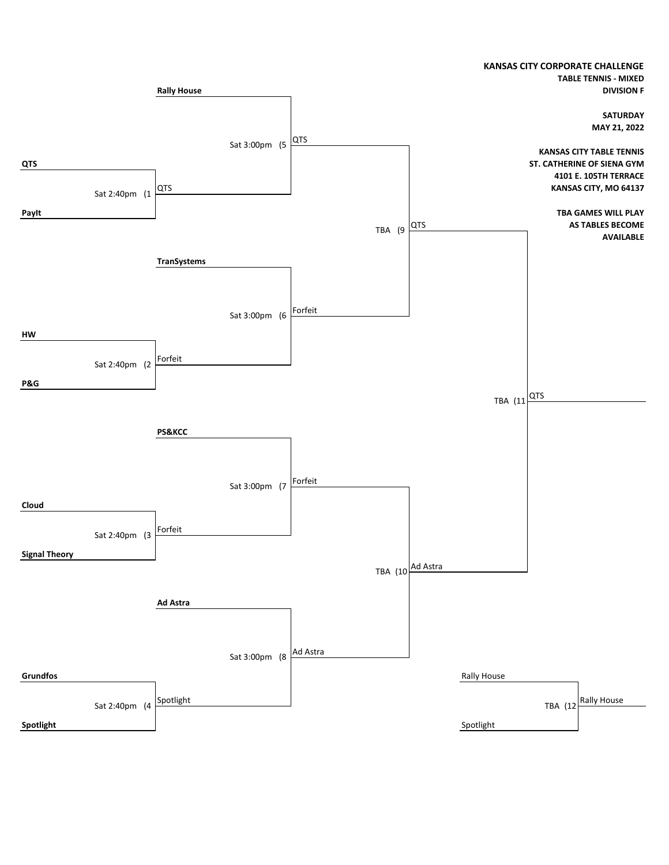